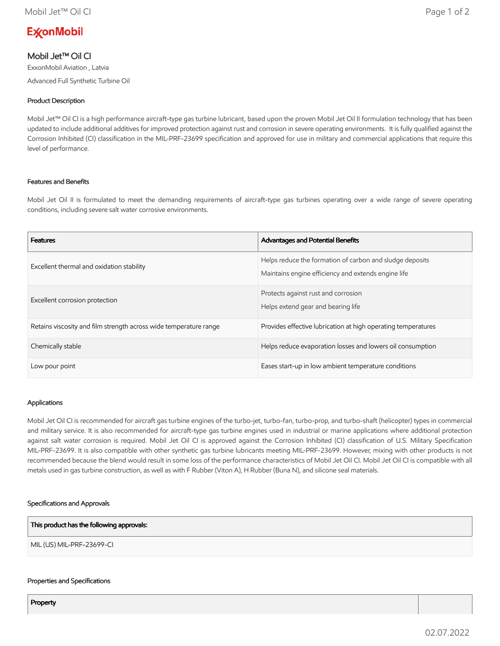# **ExconMobil**

## Mobil Jet™ Oil CI

ExxonMobil Aviation , Latvia Advanced Full Synthetic Turbine Oil

## Product Description

Mobil Jet™ Oil CI is a high performance aircraft-type gas turbine lubricant, based upon the proven Mobil Jet Oil II formulation technology that has been updated to include additional additives for improved protection against rust and corrosion in severe operating environments. It is fully qualified against the Corrosion Inhibited (CI) classification in the MIL-PRF-23699 specification and approved for use in military and commercial applications that require this level of performance.

## Features and Benefits

Mobil Jet Oil II is formulated to meet the demanding requirements of aircraft-type gas turbines operating over a wide range of severe operating conditions, including severe salt water corrosive environments.

| <b>Features</b>                                                   | <b>Advantages and Potential Benefits</b>                                                                        |
|-------------------------------------------------------------------|-----------------------------------------------------------------------------------------------------------------|
| Excellent thermal and oxidation stability                         | Helps reduce the formation of carbon and sludge deposits<br>Maintains engine efficiency and extends engine life |
| Excellent corrosion protection                                    | Protects against rust and corrosion<br>Helps extend gear and bearing life                                       |
| Retains viscosity and film strength across wide temperature range | Provides effective lubrication at high operating temperatures                                                   |
| Chemically stable                                                 | Helps reduce evaporation losses and lowers oil consumption                                                      |
| Low pour point                                                    | Eases start-up in low ambient temperature conditions                                                            |

#### Applications

Mobil Jet Oil CI is recommended for aircraft gas turbine engines of the turbo-jet, turbo-fan, turbo-prop, and turbo-shaft (helicopter) types in commercial and military service. It is also recommended for aircraft-type gas turbine engines used in industrial or marine applications where additional protection against salt water corrosion is required. Mobil Jet Oil CI is approved against the Corrosion Inhibited (CI) classification of U.S. Military Specification MIL-PRF-23699. It is also compatible with other synthetic gas turbine lubricants meeting MIL-PRF-23699. However, mixing with other products is not recommended because the blend would result in some loss of the performance characteristics of Mobil Jet Oil CI. Mobil Jet Oil CI is compatible with all metals used in gas turbine construction, as well as with F Rubber (Viton A), H Rubber (Buna N), and silicone seal materials.

#### Specifications and Approvals

| This product has the following approvals: |  |
|-------------------------------------------|--|
| MIL (US) MIL-PRF-23699-CI                 |  |

#### Properties and Specifications

**Property**